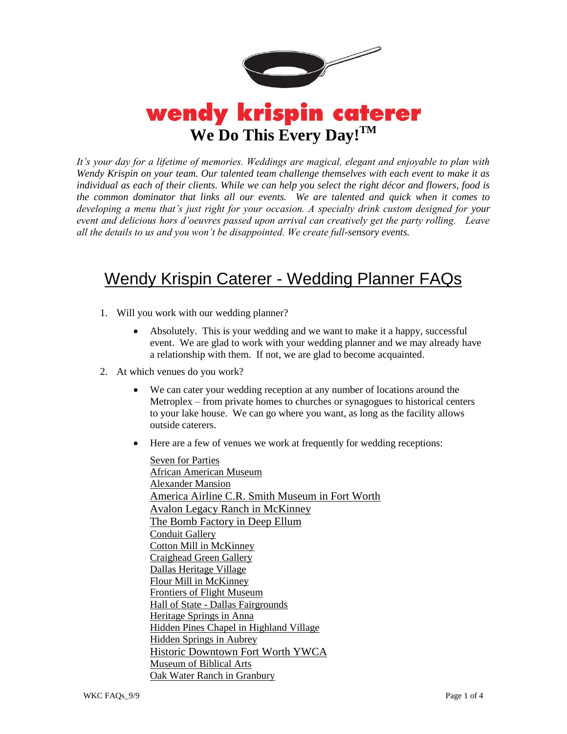

## wendy krispin caterer **We Do This Every Day!TM**

*It's your day for a lifetime of memories. Weddings are magical, elegant and enjoyable to plan with Wendy Krispin on your team. Our talented team challenge themselves with each event to make it as individual as each of their clients. While we can help you select the right décor and flowers, food is the common dominator that links all our events. We are talented and quick when it comes to developing a menu that's just right for your occasion. A specialty drink custom designed for your event and delicious hors d'oeuvres passed upon arrival can creatively get the party rolling. Leave all the details to us and you won't be disappointed. We create full-sensory events.*

## Wendy Krispin Caterer - Wedding Planner FAQs

- 1. Will you work with our wedding planner?
	- Absolutely. This is your wedding and we want to make it a happy, successful event. We are glad to work with your wedding planner and we may already have a relationship with them. If not, we are glad to become acquainted.
- 2. At which venues do you work?
	- We can cater your wedding reception at any number of locations around the Metroplex – from private homes to churches or synagogues to historical centers to your lake house. We can go where you want, as long as the facility allows outside caterers.
	- Here are a few of venues we work at frequently for wedding receptions:

[Seven for Parties](http://www.sevenforparties.com/) [African American Museum](http://www.aamdallas.org/) [Alexander Mansion](http://www.dallaswomansforum.org/rentals/)  [America Airline C.R. Smith Museum in Fort Worth](http://www.crsmithmuseum.org/home.htm) [Avalon Legacy Ranch in McKinney](http://www.avalonlegacyranch.com/%20in%20McKinney) [The Bomb Factory in Deep Ellum](http://www.thebombfactory.com/venue-details/) [Conduit Gallery](http://www.conduitgallery.com/) [Cotton Mill in McKinney](http://www.mckinneycottonmill.com/%23/tenant-leasing/) [Craighead Green Gallery](http://www.craigheadgreen.com/) [Dallas Heritage Village](https://www.dallasheritagevillage.org/rentals/) [Flour Mill in McKinney](http://mckinneyflourmill.com/) [Frontiers of Flight Museum](http://www.flightmuseum.com/) Hall of State - [Dallas Fairgrounds](http://www.hallofstate.com/) [Heritage Springs in Anna](http://heritage.thespringsevents.com/) [Hidden Pines Chapel in Highland Village](http://www.hiddenpineschapel.com/%23!/WELCOME) [Hidden Springs in Aubrey](http://hidden.thespringsevents.com/) [Historic Downtown Fort Worth YWCA](http://www.ywcafortworth.com/web/facility-rental/) [Museum of Biblical Arts](http://www.biblicalarts.org/) [Oak Water Ranch in Granbury](http://www.theoakwaterranch.com/)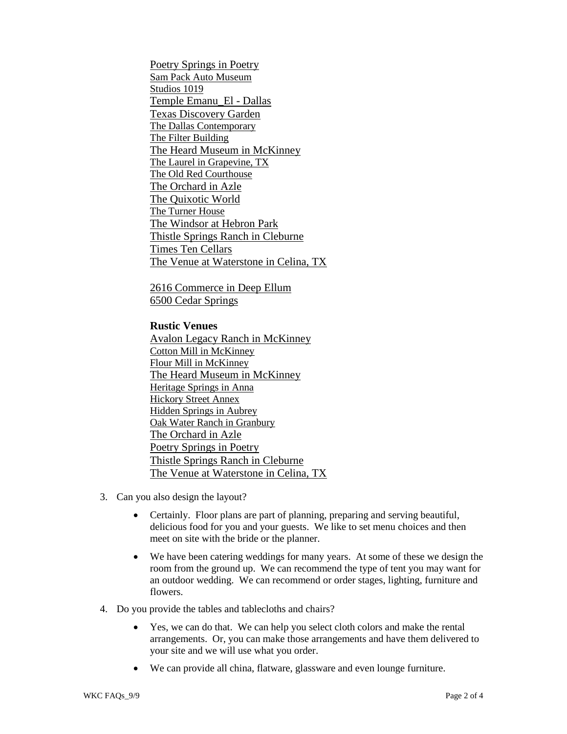[Poetry Springs in Poetry](http://poetry.thespringsevents.com/) [Sam Pack Auto Museum](http://www.packautomotivemuseum.com/sampack.html) [Studios 1019](http://studios1019.com/) [Temple Emanu\\_El -](thttp://www.tedallas.org/) Dallas [Texas Discovery Garden](http://texasdiscoverygardens.org/) The Dallas Contemporary [The Filter Building](http://www.thefilterbuilding.com/) [The Heard Museum in McKinney](http://www.heardmuseum.org/) [The Laurel in Grapevine, TX](http://www.thelaureltexas.com/) [The Old Red Courthouse](http://www.oldred.org/) [The Orchard in Azle](http://www.theorchardtx.com/) The Quixotic World The Turner House [The Windsor at Hebron Park](http://windsorparkdallas.com/) [Thistle Springs Ranch in Cleburne](http://www.thistlespringsranch.com/) [Times Ten Cellars](http://www.timestencellars.com/) [The Venue at Waterstone in Celina, TX](http://www.dallasweddingvenue.com/)

[2616 Commerce in Deep Ellum](http://www.2616commerce.com/) [6500 Cedar Springs](http://sixtyfivehundred.com/)

## **Rustic Venues**

[Avalon Legacy Ranch in McKinney](http://www.avalonlegacyranch.com/%20in%20McKinney) [Cotton Mill in McKinney](http://www.mckinneycottonmill.com/%23/tenant-leasing/) [Flour Mill in McKinney](http://mckinneyflourmill.com/) [The Heard Museum in McKinney](http://www.heardmuseum.org/) [Heritage Springs in Anna](http://heritage.thespringsevents.com/) [Hickory Street Annex](http://www.hickorystreetannex.com/) [Hidden Springs in Aubrey](http://hidden.thespringsevents.com/) [Oak Water Ranch in Granbury](http://www.theoakwaterranch.com/) [The Orchard in Azle](http://www.theorchardtx.com/) [Poetry Springs in Poetry](http://poetry.thespringsevents.com/) [Thistle Springs Ranch in Cleburne](http://www.thistlespringsranch.com/) [The Venue at Waterstone in Celina, TX](http://www.dallasweddingvenue.com/)

- 3. Can you also design the layout?
	- Certainly. Floor plans are part of planning, preparing and serving beautiful, delicious food for you and your guests. We like to set menu choices and then meet on site with the bride or the planner.
	- We have been catering weddings for many years. At some of these we design the room from the ground up. We can recommend the type of tent you may want for an outdoor wedding. We can recommend or order stages, lighting, furniture and flowers.
- 4. Do you provide the tables and tablecloths and chairs?
	- Yes, we can do that. We can help you select cloth colors and make the rental arrangements. Or, you can make those arrangements and have them delivered to your site and we will use what you order.
	- We can provide all china, flatware, glassware and even lounge furniture.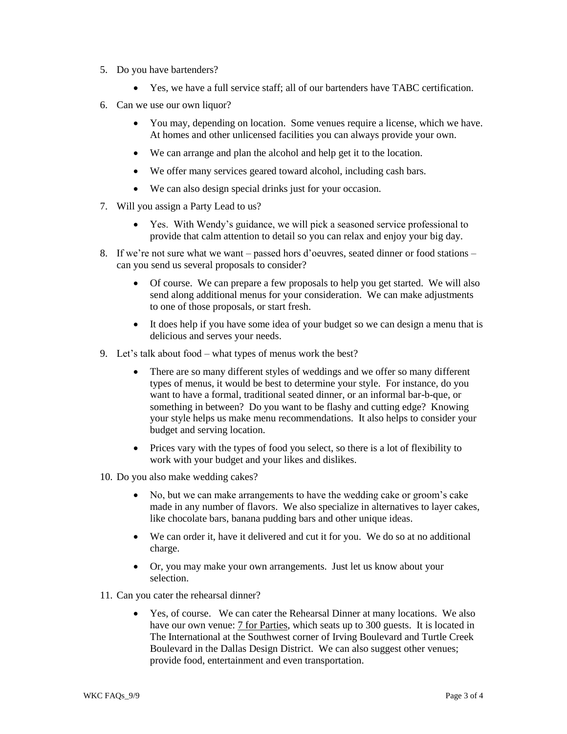- 5. Do you have bartenders?
	- Yes, we have a full service staff; all of our bartenders have TABC certification.
- 6. Can we use our own liquor?
	- You may, depending on location. Some venues require a license, which we have. At homes and other unlicensed facilities you can always provide your own.
	- We can arrange and plan the alcohol and help get it to the location.
	- We offer many services geared toward alcohol, including cash bars.
	- We can also design special drinks just for your occasion.
- 7. Will you assign a Party Lead to us?
	- Yes. With Wendy's guidance, we will pick a seasoned service professional to provide that calm attention to detail so you can relax and enjoy your big day.
- 8. If we're not sure what we want passed hors d'oeuvres, seated dinner or food stations can you send us several proposals to consider?
	- Of course. We can prepare a few proposals to help you get started. We will also send along additional menus for your consideration. We can make adjustments to one of those proposals, or start fresh.
	- It does help if you have some idea of your budget so we can design a menu that is delicious and serves your needs.
- 9. Let's talk about food what types of menus work the best?
	- There are so many different styles of weddings and we offer so many different types of menus, it would be best to determine your style. For instance, do you want to have a formal, traditional seated dinner, or an informal bar-b-que, or something in between? Do you want to be flashy and cutting edge? Knowing your style helps us make menu recommendations. It also helps to consider your budget and serving location.
	- Prices vary with the types of food you select, so there is a lot of flexibility to work with your budget and your likes and dislikes.
- 10. Do you also make wedding cakes?
	- No, but we can make arrangements to have the wedding cake or groom's cake made in any number of flavors. We also specialize in alternatives to layer cakes, like chocolate bars, banana pudding bars and other unique ideas.
	- We can order it, have it delivered and cut it for you. We do so at no additional charge.
	- Or, you may make your own arrangements. Just let us know about your selection.
- 11. Can you cater the rehearsal dinner?
	- Yes, of course. We can cater the Rehearsal Dinner at many locations. We also have our own venue: [7 for Parties,](http://www.7forparties.com/) which seats up to 300 guests. It is located in The International at the Southwest corner of Irving Boulevard and Turtle Creek Boulevard in the Dallas Design District. We can also suggest other venues; provide food, entertainment and even transportation.